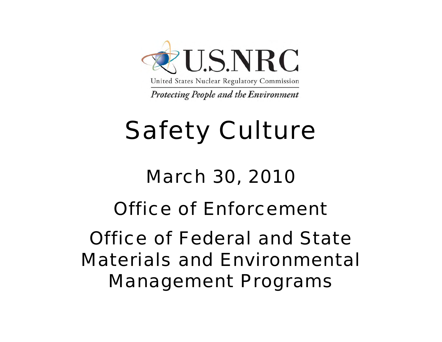

United States Nuclear Regulatory Commission

**Protecting People and the Environment** 

# Safety Culture

# March 30, 2010

#### Office of Enforcement

#### Office of Federal and State Materials and Environmental Management Programs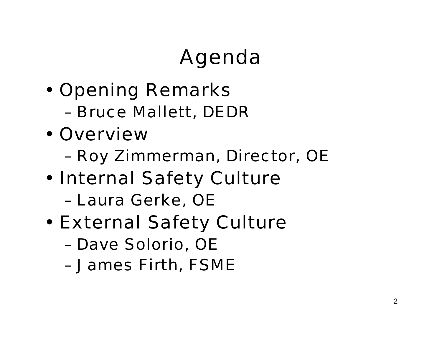## Agenda

- • Opening Remarks
	- Bruce Mallett, DEDR
- •**Overview** 
	- Roy Zimmerman, Director, OE
- • Internal Safety Culture
	- Laura Gerke, OE
- • External Safety Culture
	- Dave Solorio, OE
	- James Firth, FSME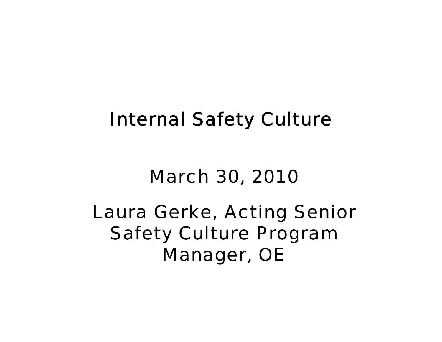#### Internal Safety Culture

#### March 30, 2010

#### Laura Gerke, Acting Senior Safety Culture Program Manager, OE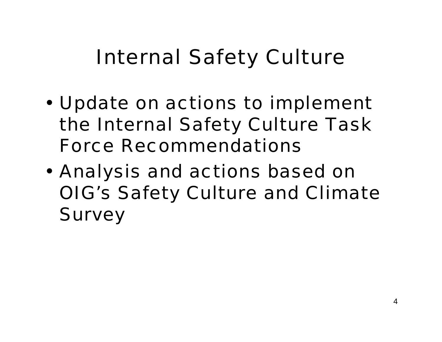## Internal Safety Culture

- • Update on actions to implement the Internal Safety Culture Task Force Recommendations
- • Analysis and actions based on OIG's Safety Culture and Climate **Survey**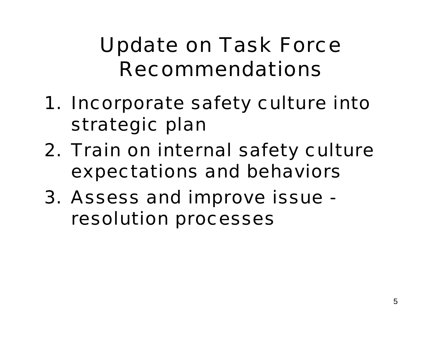## Update on Task Force Recommendations

- 1. Incorporate safety culture into strategic plan
- 2. Train on internal safety culture expectations and behaviors
- 3. Assess and improve issue resolution processes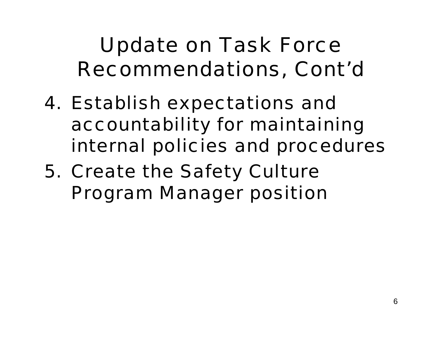## Update on Task Force Recommendations, Cont'd

- 4. Establish expectations and accountability for maintaining internal policies and procedures
- 5. Create the Safety Culture Program Manager position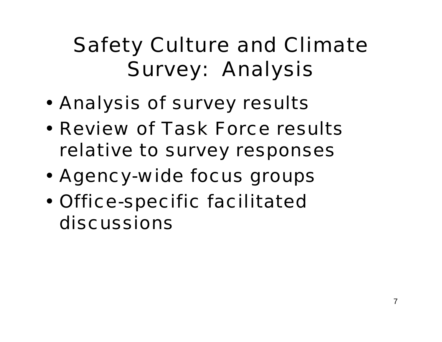## Safety Culture and Climate Survey: Analysis

- •Analysis of survey results
- • Review of Task Force results relative to survey responses
- •Agency-wide focus groups
- • Office-specific facilitated discussions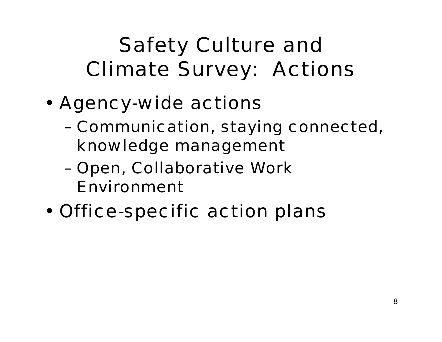## Safety Culture and Climate Survey: Actions

- • Agency-wide actions
	- Communication, staying connected, knowledge management
	- Open, Collaborative Work Environment
- •Office-specific action plans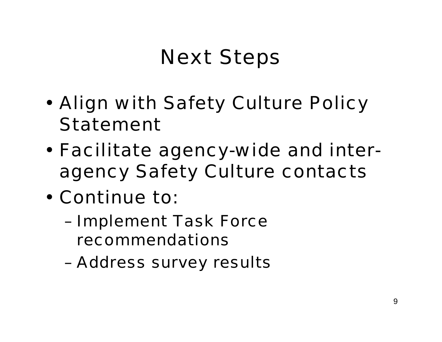## Next Steps

- • Align with Safety Culture Policy Statement
- • Facilitate agency-wide and interagency Safety Culture contacts
- • Continue to:
	- Implement Task Force recommendations
	- Address survey results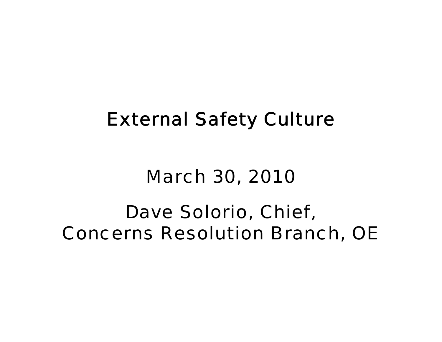#### External Safety Culture

#### March 30, 2010

#### Dave Solorio, Chief, Concerns Resolution Branch, OE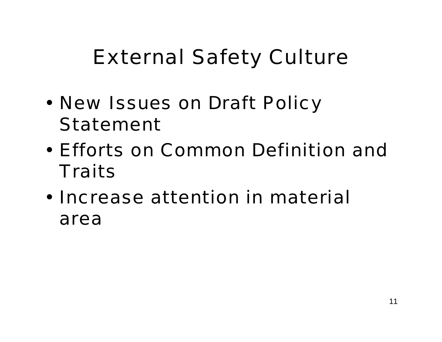## External Safety Culture

- • New Issues on Draft Policy Statement
- • Efforts on Common Definition and Traits
- • Increase attention in material area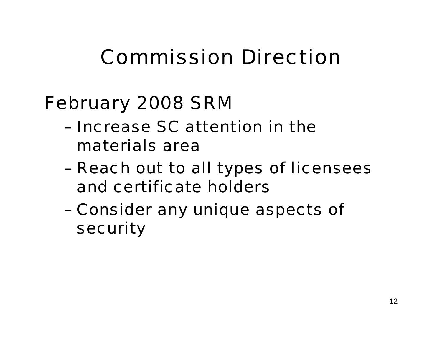#### Commission Direction

#### February 2008 SRM

- Increase SC attention in the materials area
- Reach out to all types of licensees and certificate holders
- Consider any unique aspects of security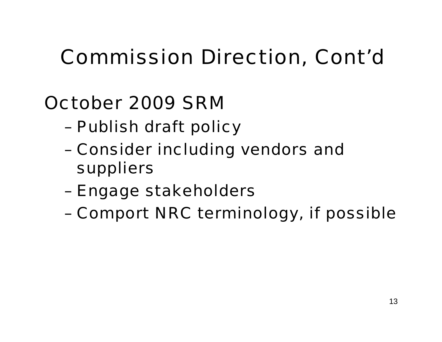## Commission Direction, Cont'd

#### October 2009 SRM

- Publish draft policy
- Consider including vendors and suppliers
- Engage stakeholders
- Comport NRC terminology, if possible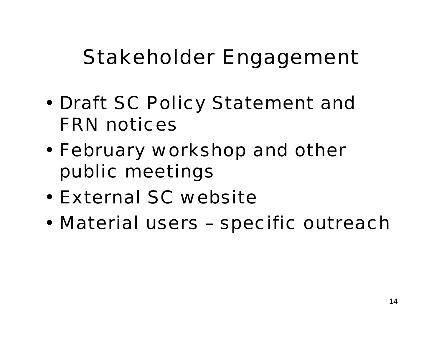#### Stakeholder Engagement

- • Draft SC Policy Statement and FRN notices
- • February workshop and other public meetings
- •External SC website
- •Material users – specific outreach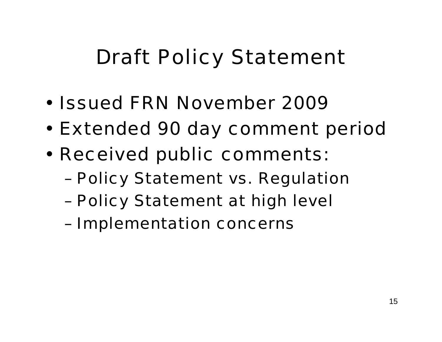## Draft Policy Statement

- •Issued FRN November 2009
- •**Extended 90 day comment period**
- • Received public comments:
	- Policy Statement vs. Regulatior
	- Policy Statement at high level
	- Implementation concerns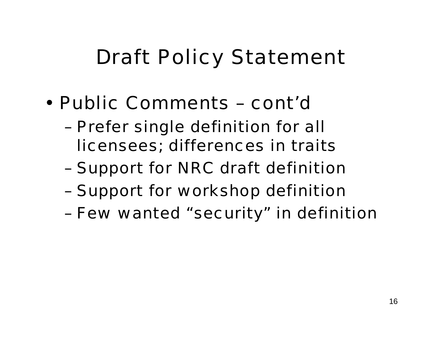## Draft Policy Statement

- • Public Comments – cont'd
	- Prefer single definition for all licensees; differences in traits
	- Support for NRC draft definitior
	- Support for workshop definition
	- Few wanted "security" in definition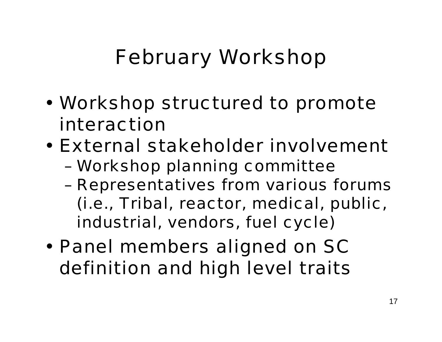## February Workshop

- • Workshop structured to promote interaction
- • External stakeholder involvement
	- Workshop planning committee
	- Representatives from various forums (i.e., Tribal, reactor, medical, public, industrial, vendors, fuel cycle)
- • Panel members aligned on SC definition and high level traits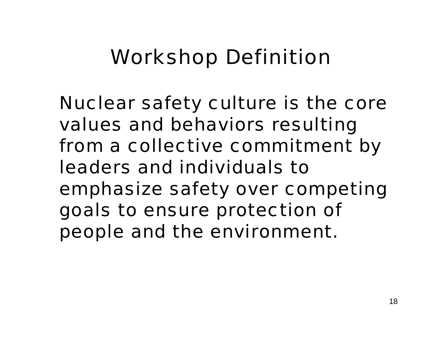#### Workshop Definition

Nuclear safety culture is the core values and behaviors resulting from a collective commitment by leaders and individuals to emphasize safety over competing goals to ensure protection of people and the environment.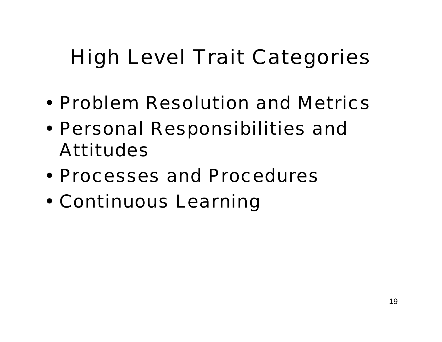## High Level Trait Categories

- •Problem Resolution and Metrics
- • Personal Responsibilities and Attitudes
- •Processes and Procedures
- •Continuous Learning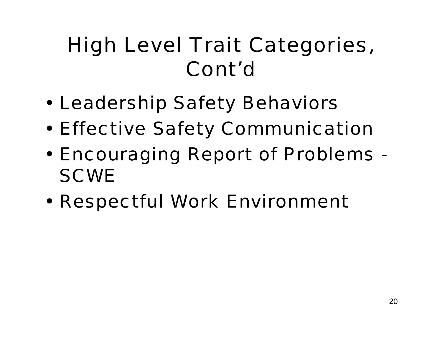## High Level Trait Categories, Cont'd

- •Leadership Safety Behaviors
- •Effective Safety Communication
- • Encouraging Report of Problems - **SCWE**
- •Respectful Work Environment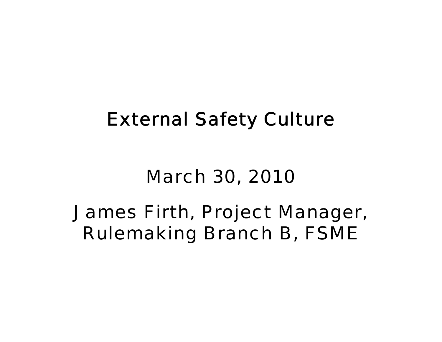#### External Safety Culture

#### March 30, 2010

#### James Firth, Project Manager, Rulemaking Branch B, FSME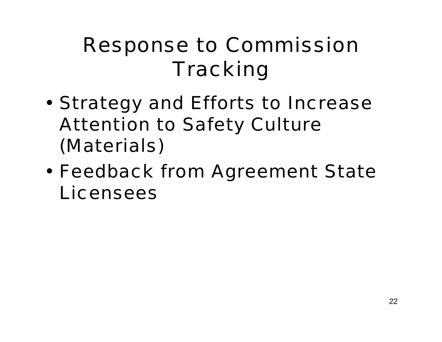## Response to Commission **Tracking**

- • Strategy and Efforts to Increase Attention to Safety Culture (Materials)
- • Feedback from Agreement State Licensees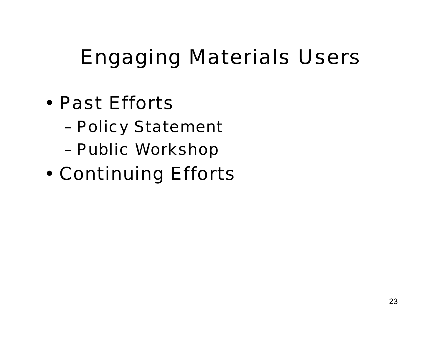## Engaging Materials Users

- • Past Efforts
	- Policy Statement
	- Public Workshop
- •Continuing Efforts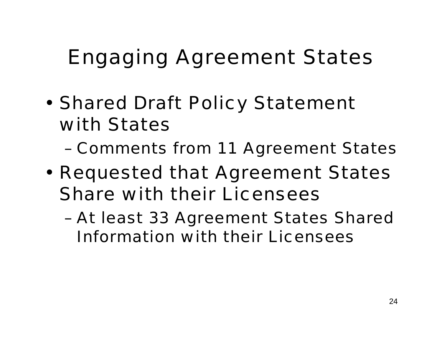## Engaging Agreement States

- • Shared Draft Policy Statement with States
	- Comments from 11 Agreement States
- • Requested that Agreement States Share with their Licensees
	- At least 33 Agreement States Shared Information with their Licensees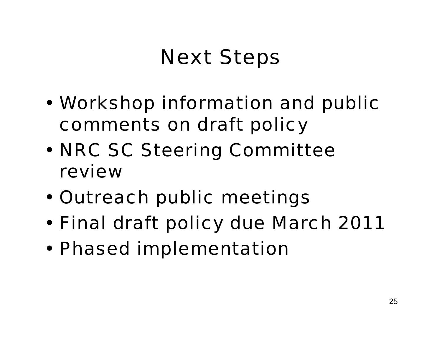## Next Steps

- • Workshop information and public comments on draft policy
- • NRC SC Steering Committee review
- •Outreach public meetings
- •**Final draft policy due March 2011**
- •Phased implementation